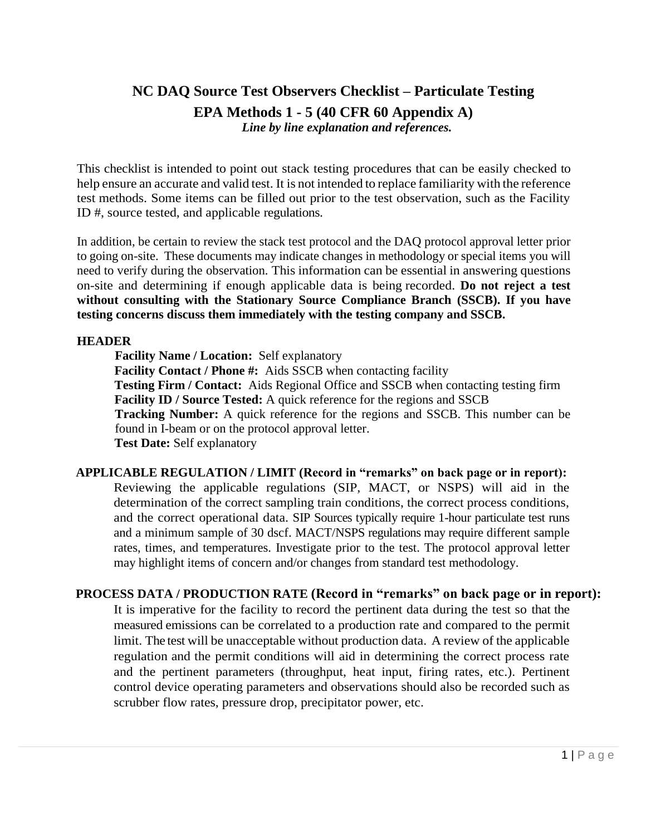# **NC DAQ Source Test Observers Checklist – Particulate Testing EPA Methods 1 - 5 (40 CFR 60 Appendix A)** *Line by line explanation and references.*

This checklist is intended to point out stack testing procedures that can be easily checked to help ensure an accurate and valid test. It is not intended to replace familiarity with the reference test methods. Some items can be filled out prior to the test observation, such as the Facility ID #, source tested, and applicable regulations.

In addition, be certain to review the stack test protocol and the DAQ protocol approval letter prior to going on-site. These documents may indicate changes in methodology or special items you will need to verify during the observation. This information can be essential in answering questions on-site and determining if enough applicable data is being recorded. **Do not reject a test without consulting with the Stationary Source Compliance Branch (SSCB). If you have testing concerns discuss them immediately with the testing company and SSCB.**

### **HEADER**

**Facility Name / Location:** Self explanatory **Facility Contact / Phone #:** Aids SSCB when contacting facility **Testing Firm / Contact:** Aids Regional Office and SSCB when contacting testing firm **Facility ID / Source Tested:** A quick reference for the regions and SSCB **Tracking Number:** A quick reference for the regions and SSCB. This number can be found in I-beam or on the protocol approval letter. **Test Date:** Self explanatory

**APPLICABLE REGULATION / LIMIT (Record in "remarks" on back page or in report):** Reviewing the applicable regulations (SIP, MACT, or NSPS) will aid in the determination of the correct sampling train conditions, the correct process conditions, and the correct operational data. SIP Sources typically require 1-hour particulate test runs and a minimum sample of 30 dscf. MACT/NSPS regulations may require different sample rates, times, and temperatures. Investigate prior to the test. The protocol approval letter may highlight items of concern and/or changes from standard test methodology.

# **PROCESS DATA / PRODUCTION RATE (Record in "remarks" on back page or in report):**

It is imperative for the facility to record the pertinent data during the test so that the measured emissions can be correlated to a production rate and compared to the permit limit. The test will be unacceptable without production data. A review of the applicable regulation and the permit conditions will aid in determining the correct process rate and the pertinent parameters (throughput, heat input, firing rates, etc.). Pertinent control device operating parameters and observations should also be recorded such as scrubber flow rates, pressure drop, precipitator power, etc.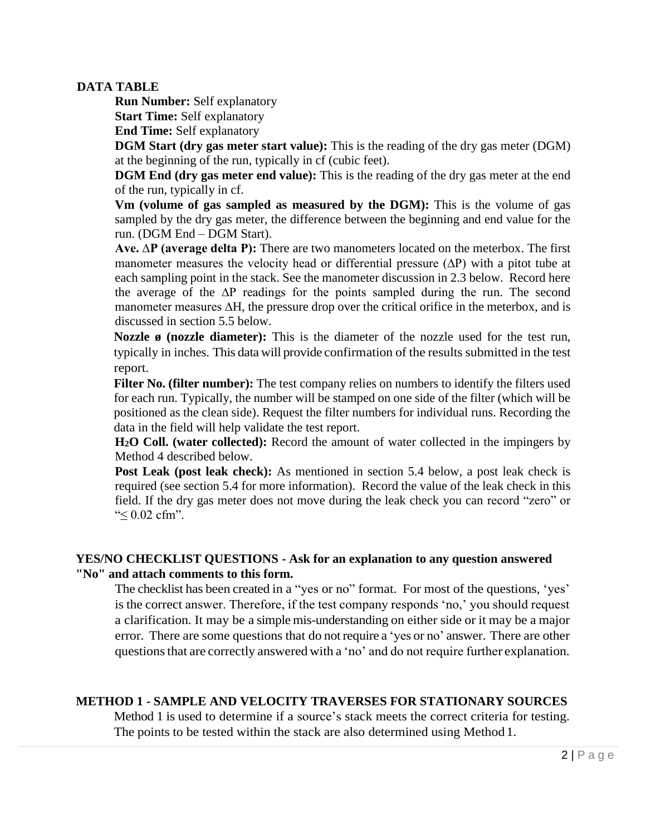## **DATA TABLE**

**Run Number:** Self explanatory **Start Time:** Self explanatory

**End Time:** Self explanatory

**DGM Start (dry gas meter start value):** This is the reading of the dry gas meter (DGM) at the beginning of the run, typically in cf (cubic feet).

**DGM End (dry gas meter end value):** This is the reading of the dry gas meter at the end of the run, typically in cf.

**Vm (volume of gas sampled as measured by the DGM):** This is the volume of gas sampled by the dry gas meter, the difference between the beginning and end value for the run. (DGM End – DGM Start).

**Ave. ∆P (average delta P):** There are two manometers located on the meterbox. The first manometer measures the velocity head or differential pressure (∆P) with a pitot tube at each sampling point in the stack. See the manometer discussion in 2.3 below. Record here the average of the ∆P readings for the points sampled during the run. The second manometer measures ∆H, the pressure drop over the critical orifice in the meterbox, and is discussed in section 5.5 below.

**Nozzle ø (nozzle diameter):** This is the diameter of the nozzle used for the test run, typically in inches. This data will provide confirmation of the results submitted in the test report.

**Filter No. (filter number):** The test company relies on numbers to identify the filters used for each run. Typically, the number will be stamped on one side of the filter (which will be positioned as the clean side). Request the filter numbers for individual runs. Recording the data in the field will help validate the test report.

**H2O Coll. (water collected):** Record the amount of water collected in the impingers by Method 4 described below.

**Post Leak (post leak check):** As mentioned in section 5.4 below, a post leak check is required (see section 5.4 for more information). Record the value of the leak check in this field. If the dry gas meter does not move during the leak check you can record "zero" or "≤ 0.02 cfm".

# **YES/NO CHECKLIST QUESTIONS - Ask for an explanation to any question answered "No" and attach comments to this form.**

The checklist has been created in a "yes or no" format. For most of the questions, 'yes' is the correct answer. Therefore, if the test company responds 'no,' you should request a clarification. It may be a simple mis-understanding on either side or it may be a major error. There are some questions that do notrequire a 'yes or no' answer. There are other questionsthat are correctly answered with a 'no' and do not require further explanation.

# **METHOD 1 - SAMPLE AND VELOCITY TRAVERSES FOR STATIONARY SOURCES**

Method 1 is used to determine if a source's stack meets the correct criteria for testing. The points to be tested within the stack are also determined using Method 1.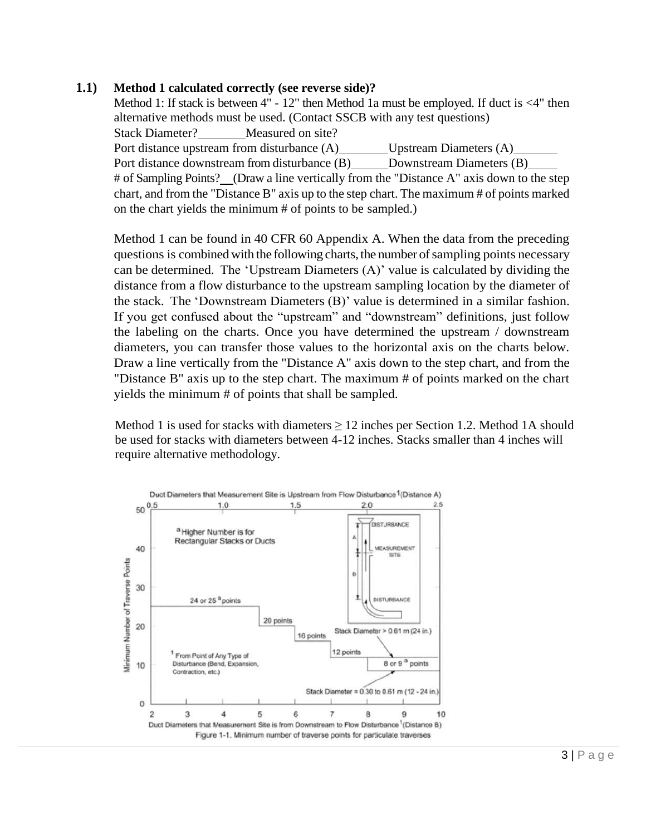### **1.1) Method 1 calculated correctly (see reverse side)?**

Method 1: If stack is between 4" - 12" then Method 1a must be employed. If duct is <4" then alternative methods must be used. (Contact SSCB with any test questions) Stack Diameter? Measured on site? Port distance upstream from disturbance (A) Upstream Diameters (A) Port distance downstream from disturbance (B) Downstream Diameters (B) # of Sampling Points? (Draw a line vertically from the "Distance A" axis down to the step chart, and from the "Distance B" axis up to the step chart. The maximum # of points marked on the chart yields the minimum # of points to be sampled.)

Method 1 can be found in 40 CFR 60 Appendix A. When the data from the preceding questions is combined with the following charts, the number of sampling points necessary can be determined. The 'Upstream Diameters (A)' value is calculated by dividing the distance from a flow disturbance to the upstream sampling location by the diameter of the stack. The 'Downstream Diameters (B)' value is determined in a similar fashion. If you get confused about the "upstream" and "downstream" definitions, just follow the labeling on the charts. Once you have determined the upstream / downstream diameters, you can transfer those values to the horizontal axis on the charts below. Draw a line vertically from the "Distance A" axis down to the step chart, and from the "Distance B" axis up to the step chart. The maximum # of points marked on the chart yields the minimum # of points that shall be sampled.

Method 1 is used for stacks with diameters  $\geq 12$  inches per Section 1.2. Method 1A should be used for stacks with diameters between 4-12 inches. Stacks smaller than 4 inches will require alternative methodology.

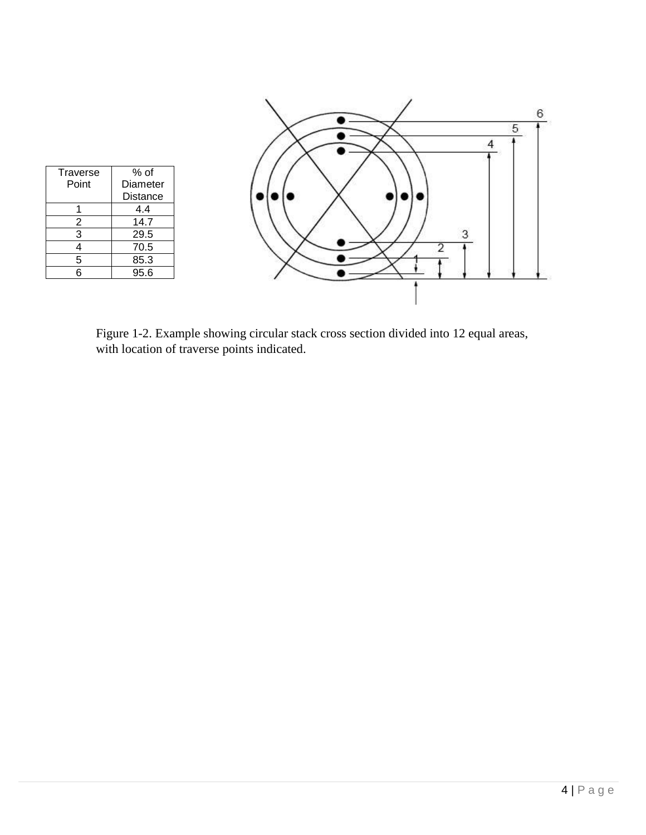

Figure 1-2. Example showing circular stack cross section divided into 12 equal areas, with location of traverse points indicated.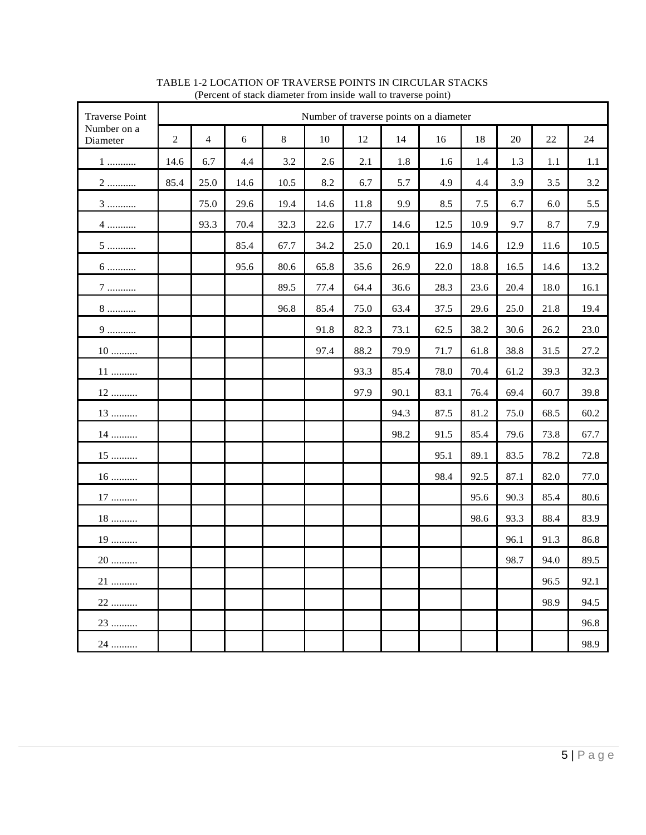| <b>Traverse Point</b>    | Number of traverse points on a diameter |                         |      |       |      |      |      |      |      |      |      |      |
|--------------------------|-----------------------------------------|-------------------------|------|-------|------|------|------|------|------|------|------|------|
| Number on a<br>Diameter  | $\overline{2}$                          | $\overline{\mathbf{4}}$ | 6    | $8\,$ | 10   | 12   | 14   | 16   | 18   | 20   | 22   | 24   |
| 1                        | 14.6                                    | 6.7                     | 4.4  | 3.2   | 2.6  | 2.1  | 1.8  | 1.6  | 1.4  | 1.3  | 1.1  | 1.1  |
| $2$                      | 85.4                                    | 25.0                    | 14.6 | 10.5  | 8.2  | 6.7  | 5.7  | 4.9  | 4.4  | 3.9  | 3.5  | 3.2  |
| $3$                      |                                         | 75.0                    | 29.6 | 19.4  | 14.6 | 11.8 | 9.9  | 8.5  | 7.5  | 6.7  | 6.0  | 5.5  |
| $4$                      |                                         | 93.3                    | 70.4 | 32.3  | 22.6 | 17.7 | 14.6 | 12.5 | 10.9 | 9.7  | 8.7  | 7.9  |
| $5$                      |                                         |                         | 85.4 | 67.7  | 34.2 | 25.0 | 20.1 | 16.9 | 14.6 | 12.9 | 11.6 | 10.5 |
| $6 \dots 6$              |                                         |                         | 95.6 | 80.6  | 65.8 | 35.6 | 26.9 | 22.0 | 18.8 | 16.5 | 14.6 | 13.2 |
| $7$                      |                                         |                         |      | 89.5  | 77.4 | 64.4 | 36.6 | 28.3 | 23.6 | 20.4 | 18.0 | 16.1 |
| 8                        |                                         |                         |      | 96.8  | 85.4 | 75.0 | 63.4 | 37.5 | 29.6 | 25.0 | 21.8 | 19.4 |
| 9                        |                                         |                         |      |       | 91.8 | 82.3 | 73.1 | 62.5 | 38.2 | 30.6 | 26.2 | 23.0 |
| $10$                     |                                         |                         |      |       | 97.4 | 88.2 | 79.9 | 71.7 | 61.8 | 38.8 | 31.5 | 27.2 |
| $11$                     |                                         |                         |      |       |      | 93.3 | 85.4 | 78.0 | 70.4 | 61.2 | 39.3 | 32.3 |
| $12$                     |                                         |                         |      |       |      | 97.9 | 90.1 | 83.1 | 76.4 | 69.4 | 60.7 | 39.8 |
| 13                       |                                         |                         |      |       |      |      | 94.3 | 87.5 | 81.2 | 75.0 | 68.5 | 60.2 |
| 14                       |                                         |                         |      |       |      |      | 98.2 | 91.5 | 85.4 | 79.6 | 73.8 | 67.7 |
| $15$                     |                                         |                         |      |       |      |      |      | 95.1 | 89.1 | 83.5 | 78.2 | 72.8 |
| $16$                     |                                         |                         |      |       |      |      |      | 98.4 | 92.5 | 87.1 | 82.0 | 77.0 |
| $17$                     |                                         |                         |      |       |      |      |      |      | 95.6 | 90.3 | 85.4 | 80.6 |
| $18$                     |                                         |                         |      |       |      |      |      |      | 98.6 | 93.3 | 88.4 | 83.9 |
| 19                       |                                         |                         |      |       |      |      |      |      |      | 96.1 | 91.3 | 86.8 |
| $20\,\ldots\ldots\ldots$ |                                         |                         |      |       |      |      |      |      |      | 98.7 | 94.0 | 89.5 |
| 21                       |                                         |                         |      |       |      |      |      |      |      |      | 96.5 | 92.1 |
| 22                       |                                         |                         |      |       |      |      |      |      |      |      | 98.9 | 94.5 |
| 23                       |                                         |                         |      |       |      |      |      |      |      |      |      | 96.8 |
| 24                       |                                         |                         |      |       |      |      |      |      |      |      |      | 98.9 |

#### TABLE 1-2 LOCATION OF TRAVERSE POINTS IN CIRCULAR STACKS (Percent of stack diameter from inside wall to traverse point)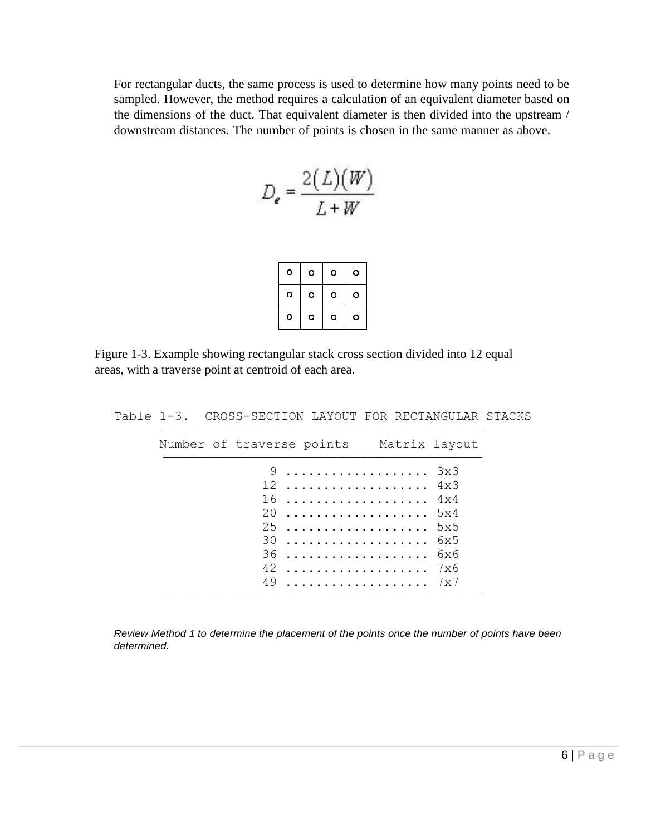For rectangular ducts, the same process is used to determine how many points need to be sampled. However, the method requires a calculation of an equivalent diameter based on the dimensions of the duct. That equivalent diameter is then divided into the upstream / downstream distances. The number of points is chosen in the same manner as above.

$$
D_e = \frac{2(L)(W)}{L+W}
$$

| o | o | о | o |
|---|---|---|---|
| o | o | о | о |
| o | o | o | o |

Figure 1-3. Example showing rectangular stack cross section divided into 12 equal areas, with a traverse point at centroid of each area.

|  |  | Number of traverse points Matrix layout                 |  |
|--|--|---------------------------------------------------------|--|
|  |  | $9 \ldots \ldots \ldots \ldots \ldots \ldots \quad 3x3$ |  |
|  |  | $12$ $4x3$                                              |  |
|  |  | $16$ $4x4$                                              |  |
|  |  | 20  5x4                                                 |  |
|  |  | 255                                                     |  |
|  |  | $30$ 6x5                                                |  |
|  |  | 36  6x6                                                 |  |
|  |  | $42$ 7x6                                                |  |
|  |  |                                                         |  |

Table 1-3. CROSS-SECTION LAYOUT FOR RECTANGULAR STACKS

*Review Method 1 to determine the placement of the points once the number of points have been determined.*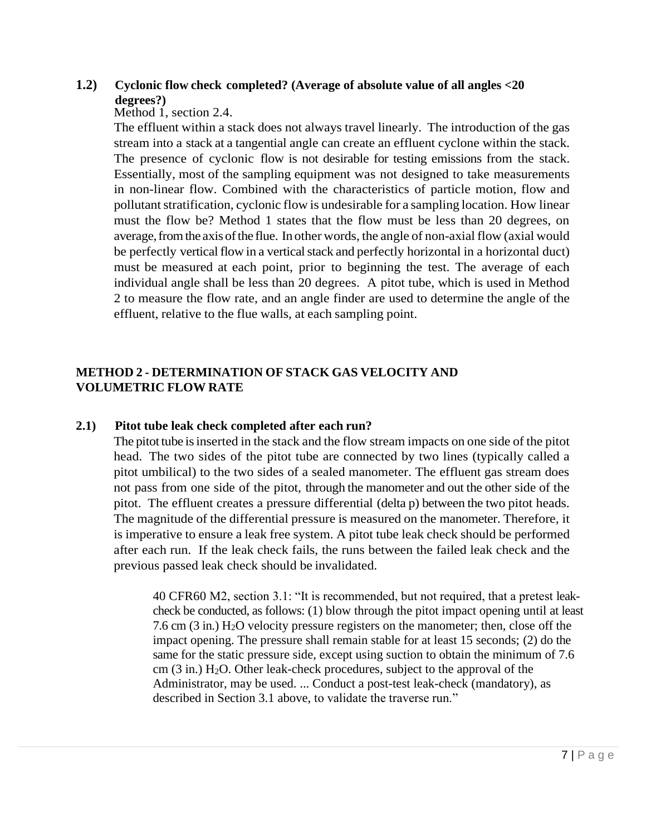# **1.2) Cyclonic flow check completed? (Average of absolute value of all angles <20 degrees?)**

### Method 1, section 2.4.

The effluent within a stack does not always travel linearly. The introduction of the gas stream into a stack at a tangential angle can create an effluent cyclone within the stack. The presence of cyclonic flow is not desirable for testing emissions from the stack. Essentially, most of the sampling equipment was not designed to take measurements in non-linear flow. Combined with the characteristics of particle motion, flow and pollutant stratification, cyclonic flow is undesirable for a sampling location. How linear must the flow be? Method 1 states that the flow must be less than 20 degrees, on average, from the axis of the flue. In other words, the angle of non-axial flow (axial would be perfectly vertical flow in a vertical stack and perfectly horizontal in a horizontal duct) must be measured at each point, prior to beginning the test. The average of each individual angle shall be less than 20 degrees. A pitot tube, which is used in Method 2 to measure the flow rate, and an angle finder are used to determine the angle of the effluent, relative to the flue walls, at each sampling point.

## **METHOD 2 - DETERMINATION OF STACK GAS VELOCITY AND VOLUMETRIC FLOW RATE**

## **2.1) Pitot tube leak check completed after each run?**

The pitot tube isinserted in the stack and the flow stream impacts on one side of the pitot head. The two sides of the pitot tube are connected by two lines (typically called a pitot umbilical) to the two sides of a sealed manometer. The effluent gas stream does not pass from one side of the pitot, through the manometer and out the other side of the pitot. The effluent creates a pressure differential (delta p) between the two pitot heads. The magnitude of the differential pressure is measured on the manometer. Therefore, it is imperative to ensure a leak free system. A pitot tube leak check should be performed after each run. If the leak check fails, the runs between the failed leak check and the previous passed leak check should be invalidated.

40 CFR60 M2, section 3.1: "It is recommended, but not required, that a pretest leakcheck be conducted, as follows: (1) blow through the pitot impact opening until at least 7.6 cm (3 in.) H2O velocity pressure registers on the manometer; then, close off the impact opening. The pressure shall remain stable for at least 15 seconds; (2) do the same for the static pressure side, except using suction to obtain the minimum of 7.6 cm  $(3 \text{ in.})$  H<sub>2</sub>O. Other leak-check procedures, subject to the approval of the Administrator, may be used. ... Conduct a post-test leak-check (mandatory), as described in Section 3.1 above, to validate the traverse run."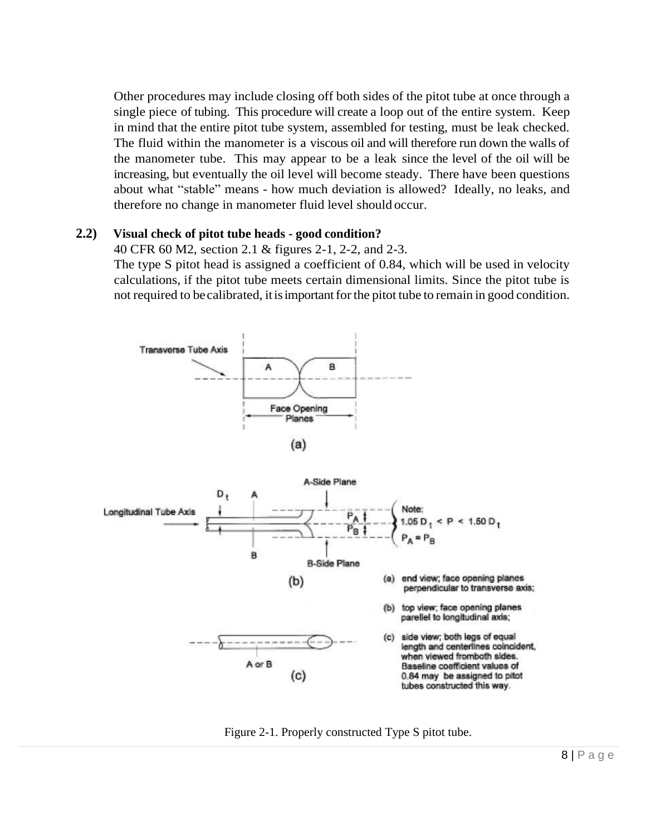Other procedures may include closing off both sides of the pitot tube at once through a single piece of tubing. This procedure will create a loop out of the entire system. Keep in mind that the entire pitot tube system, assembled for testing, must be leak checked. The fluid within the manometer is a viscous oil and will therefore run down the walls of the manometer tube. This may appear to be a leak since the level of the oil will be increasing, but eventually the oil level will become steady. There have been questions about what "stable" means - how much deviation is allowed? Ideally, no leaks, and therefore no change in manometer fluid level should occur.

### **2.2) Visual check of pitot tube heads - good condition?**

### 40 CFR 60 M2, section 2.1 & figures 2-1, 2-2, and 2-3.

The type S pitot head is assigned a coefficient of 0.84, which will be used in velocity calculations, if the pitot tube meets certain dimensional limits. Since the pitot tube is not required to be calibrated, it is important for the pitot tube to remain in good condition.



Figure 2-1. Properly constructed Type S pitot tube.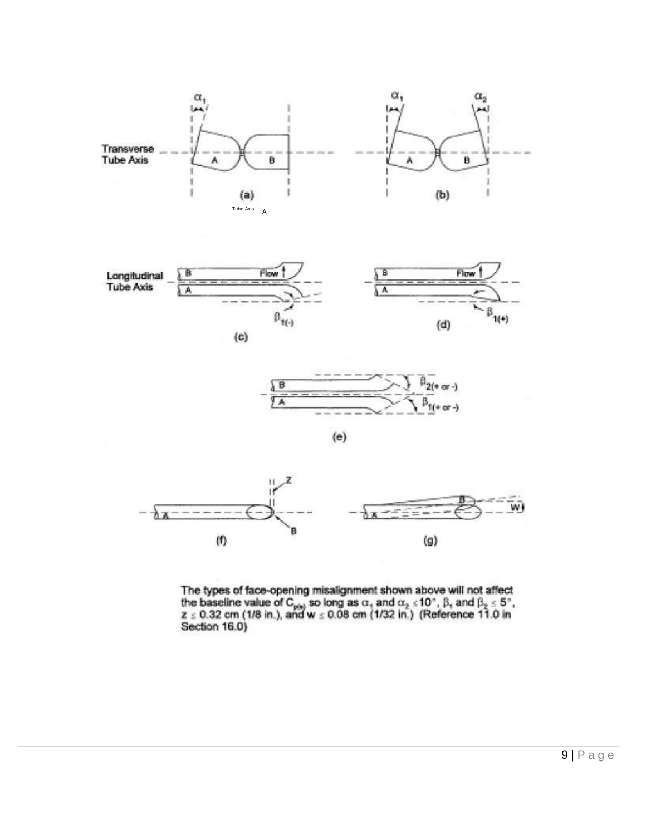





$$
^{(e)}
$$



The types of face-opening misalignment shown above will not affect<br>the baseline value of  $C_{\text{phys}}$  so long as  $\alpha$ , and  $\alpha_2 \le 10^\circ$ ,  $\beta$ , and  $\beta_2 \le 5^\circ$ ,<br> $z \le 0.32$  cm (1/8 in.), and w  $\le 0.08$  cm (1/32 in.) (Refere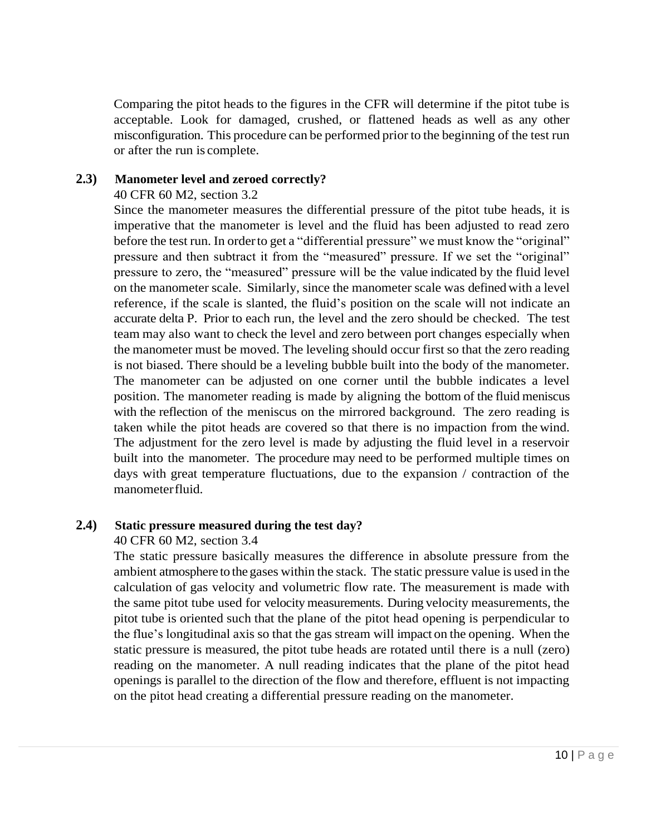Comparing the pitot heads to the figures in the CFR will determine if the pitot tube is acceptable. Look for damaged, crushed, or flattened heads as well as any other misconfiguration. This procedure can be performed prior to the beginning of the test run or after the run is complete.

## **2.3) Manometer level and zeroed correctly?**

40 CFR 60 M2, section 3.2

Since the manometer measures the differential pressure of the pitot tube heads, it is imperative that the manometer is level and the fluid has been adjusted to read zero before the test run. In orderto get a "differential pressure" we must know the "original" pressure and then subtract it from the "measured" pressure. If we set the "original" pressure to zero, the "measured" pressure will be the value indicated by the fluid level on the manometer scale. Similarly, since the manometer scale was defined with a level reference, if the scale is slanted, the fluid's position on the scale will not indicate an accurate delta P. Prior to each run, the level and the zero should be checked. The test team may also want to check the level and zero between port changes especially when the manometer must be moved. The leveling should occur first so that the zero reading is not biased. There should be a leveling bubble built into the body of the manometer. The manometer can be adjusted on one corner until the bubble indicates a level position. The manometer reading is made by aligning the bottom of the fluid meniscus with the reflection of the meniscus on the mirrored background. The zero reading is taken while the pitot heads are covered so that there is no impaction from the wind. The adjustment for the zero level is made by adjusting the fluid level in a reservoir built into the manometer. The procedure may need to be performed multiple times on days with great temperature fluctuations, due to the expansion / contraction of the manometerfluid.

## **2.4) Static pressure measured during the test day?**

40 CFR 60 M2, section 3.4

The static pressure basically measures the difference in absolute pressure from the ambient atmosphere to the gases within the stack. The static pressure value is used in the calculation of gas velocity and volumetric flow rate. The measurement is made with the same pitot tube used for velocity measurements. During velocity measurements, the pitot tube is oriented such that the plane of the pitot head opening is perpendicular to the flue's longitudinal axis so that the gas stream will impact on the opening. When the static pressure is measured, the pitot tube heads are rotated until there is a null (zero) reading on the manometer. A null reading indicates that the plane of the pitot head openings is parallel to the direction of the flow and therefore, effluent is not impacting on the pitot head creating a differential pressure reading on the manometer.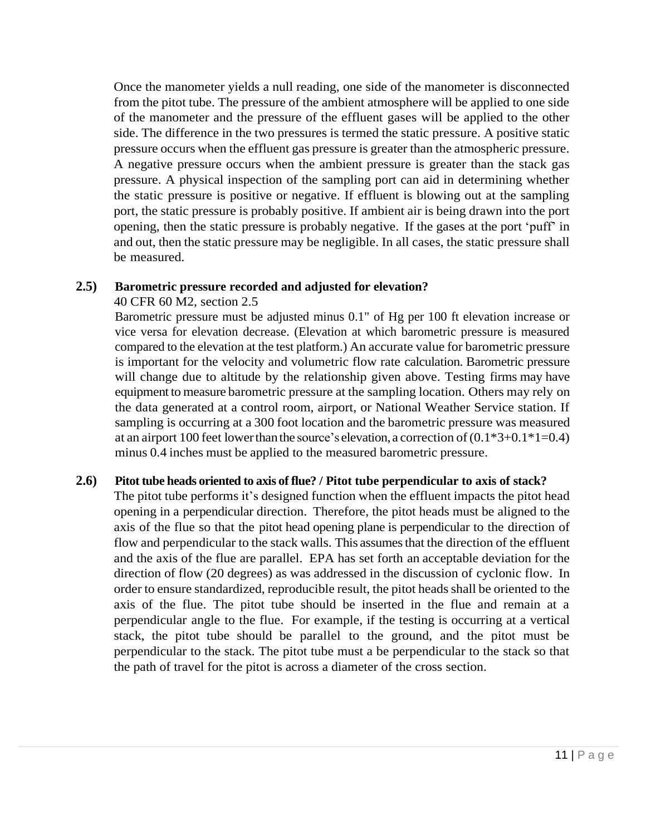Once the manometer yields a null reading, one side of the manometer is disconnected from the pitot tube. The pressure of the ambient atmosphere will be applied to one side of the manometer and the pressure of the effluent gases will be applied to the other side. The difference in the two pressures is termed the static pressure. A positive static pressure occurs when the effluent gas pressure is greater than the atmospheric pressure. A negative pressure occurs when the ambient pressure is greater than the stack gas pressure. A physical inspection of the sampling port can aid in determining whether the static pressure is positive or negative. If effluent is blowing out at the sampling port, the static pressure is probably positive. If ambient air is being drawn into the port opening, then the static pressure is probably negative. If the gases at the port 'puff' in and out, then the static pressure may be negligible. In all cases, the static pressure shall be measured.

### **2.5) Barometric pressure recorded and adjusted for elevation?**

### 40 CFR 60 M2, section 2.5

Barometric pressure must be adjusted minus 0.1" of Hg per 100 ft elevation increase or vice versa for elevation decrease. (Elevation at which barometric pressure is measured compared to the elevation at the test platform.) An accurate value for barometric pressure is important for the velocity and volumetric flow rate calculation. Barometric pressure will change due to altitude by the relationship given above. Testing firms may have equipment to measure barometric pressure at the sampling location. Others may rely on the data generated at a control room, airport, or National Weather Service station. If sampling is occurring at a 300 foot location and the barometric pressure was measured at an airport 100 feet lower than the source's elevation, a correction of  $(0.1*3+0.1*1=0.4)$ minus 0.4 inches must be applied to the measured barometric pressure.

## **2.6) Pitot tube heads oriented to axis of flue? / Pitot tube perpendicular to axis of stack?**

The pitot tube performs it's designed function when the effluent impacts the pitot head opening in a perpendicular direction. Therefore, the pitot heads must be aligned to the axis of the flue so that the pitot head opening plane is perpendicular to the direction of flow and perpendicular to the stack walls. This assumes that the direction of the effluent and the axis of the flue are parallel. EPA has set forth an acceptable deviation for the direction of flow (20 degrees) as was addressed in the discussion of cyclonic flow. In order to ensure standardized, reproducible result, the pitot heads shall be oriented to the axis of the flue. The pitot tube should be inserted in the flue and remain at a perpendicular angle to the flue. For example, if the testing is occurring at a vertical stack, the pitot tube should be parallel to the ground, and the pitot must be perpendicular to the stack. The pitot tube must a be perpendicular to the stack so that the path of travel for the pitot is across a diameter of the cross section.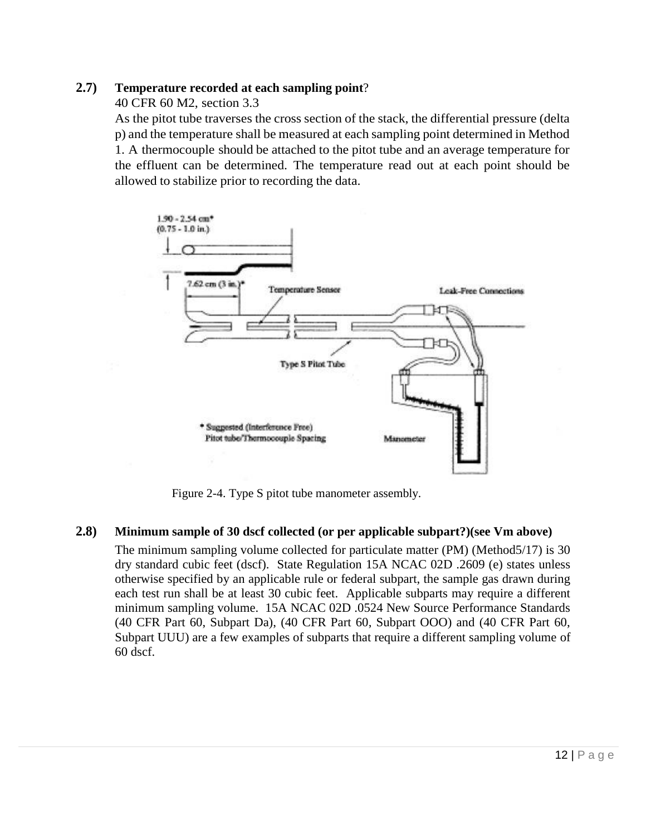## **2.7) Temperature recorded at each sampling point**?

40 CFR 60 M2, section 3.3

As the pitot tube traverses the cross section of the stack, the differential pressure (delta p) and the temperature shall be measured at each sampling point determined in Method 1. A thermocouple should be attached to the pitot tube and an average temperature for the effluent can be determined. The temperature read out at each point should be allowed to stabilize prior to recording the data.



Figure 2-4. Type S pitot tube manometer assembly.

## **2.8) Minimum sample of 30 dscf collected (or per applicable subpart?)(see Vm above)**

The minimum sampling volume collected for particulate matter (PM) (Method5/17) is 30 dry standard cubic feet (dscf). State Regulation 15A NCAC 02D .2609 (e) states unless otherwise specified by an applicable rule or federal subpart, the sample gas drawn during each test run shall be at least 30 cubic feet. Applicable subparts may require a different minimum sampling volume. 15A NCAC 02D .0524 New Source Performance Standards (40 CFR Part 60, Subpart Da), (40 CFR Part 60, Subpart OOO) and (40 CFR Part 60, Subpart UUU) are a few examples of subparts that require a different sampling volume of 60 dscf.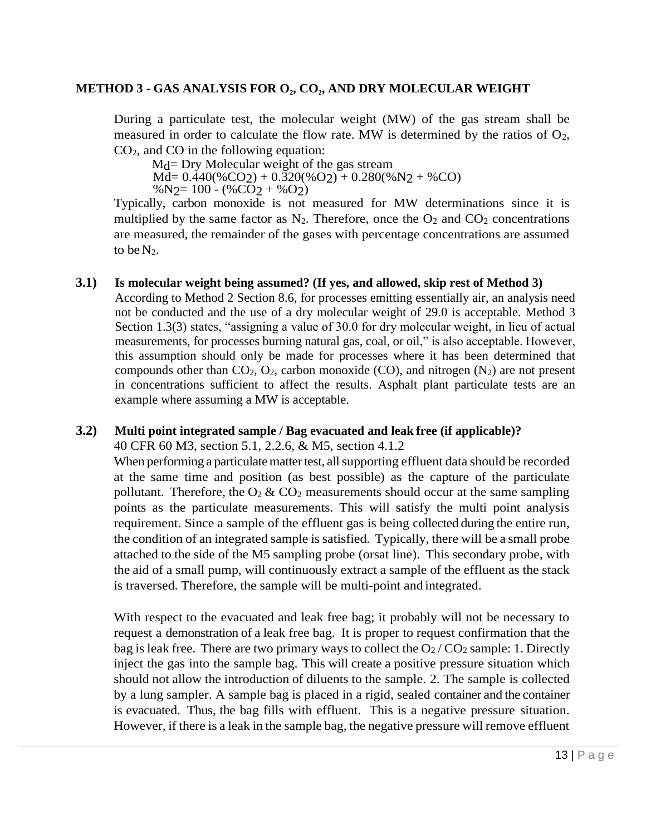## **METHOD 3 - GAS ANALYSIS FOR O<sup>2</sup> , CO<sup>2</sup> , AND DRY MOLECULAR WEIGHT**

During a particulate test, the molecular weight (MW) of the gas stream shall be measured in order to calculate the flow rate. MW is determined by the ratios of  $O_2$ ,  $CO<sub>2</sub>$ , and  $CO$  in the following equation:

M<sub>d</sub>= Dry Molecular weight of the gas stream  $\overline{Md}$  = 0.440(%CO<sub>2</sub>) + 0.320(%O<sub>2</sub>) + 0.280(%N<sub>2</sub> + %CO)  $\%$ N<sub>2</sub>= 100 - (%CO<sub>2</sub> + %O<sub>2</sub>)

Typically, carbon monoxide is not measured for MW determinations since it is multiplied by the same factor as  $N_2$ . Therefore, once the  $O_2$  and  $CO_2$  concentrations are measured, the remainder of the gases with percentage concentrations are assumed to be  $N_2$ .

### **3.1) Is molecular weight being assumed? (If yes, and allowed, skip rest of Method 3)**

According to Method 2 Section 8.6, for processes emitting essentially air, an analysis need not be conducted and the use of a dry molecular weight of 29.0 is acceptable. Method 3 Section 1.3(3) states, "assigning a value of 30.0 for dry molecular weight, in lieu of actual measurements, for processes burning natural gas, coal, or oil," is also acceptable. However, this assumption should only be made for processes where it has been determined that compounds other than  $CO_2$ ,  $O_2$ , carbon monoxide (CO), and nitrogen (N<sub>2</sub>) are not present in concentrations sufficient to affect the results. Asphalt plant particulate tests are an example where assuming a MW is acceptable.

### **3.2) Multi point integrated sample / Bag evacuated and leak free (if applicable)?**

40 CFR 60 M3, section 5.1, 2.2.6, & M5, section 4.1.2

When performing a particulate matter test, all supporting effluent data should be recorded at the same time and position (as best possible) as the capture of the particulate pollutant. Therefore, the  $O_2 \& CO_2$  measurements should occur at the same sampling points as the particulate measurements. This will satisfy the multi point analysis requirement. Since a sample of the effluent gas is being collected during the entire run, the condition of an integrated sample is satisfied. Typically, there will be a small probe attached to the side of the M5 sampling probe (orsat line). This secondary probe, with the aid of a small pump, will continuously extract a sample of the effluent as the stack is traversed. Therefore, the sample will be multi-point and integrated.

With respect to the evacuated and leak free bag; it probably will not be necessary to request a demonstration of a leak free bag. It is proper to request confirmation that the bag is leak free. There are two primary ways to collect the  $O_2 / CO_2$  sample: 1. Directly inject the gas into the sample bag. This will create a positive pressure situation which should not allow the introduction of diluents to the sample. 2. The sample is collected by a lung sampler. A sample bag is placed in a rigid, sealed container and the container is evacuated. Thus, the bag fills with effluent. This is a negative pressure situation. However, if there is a leak in the sample bag, the negative pressure will remove effluent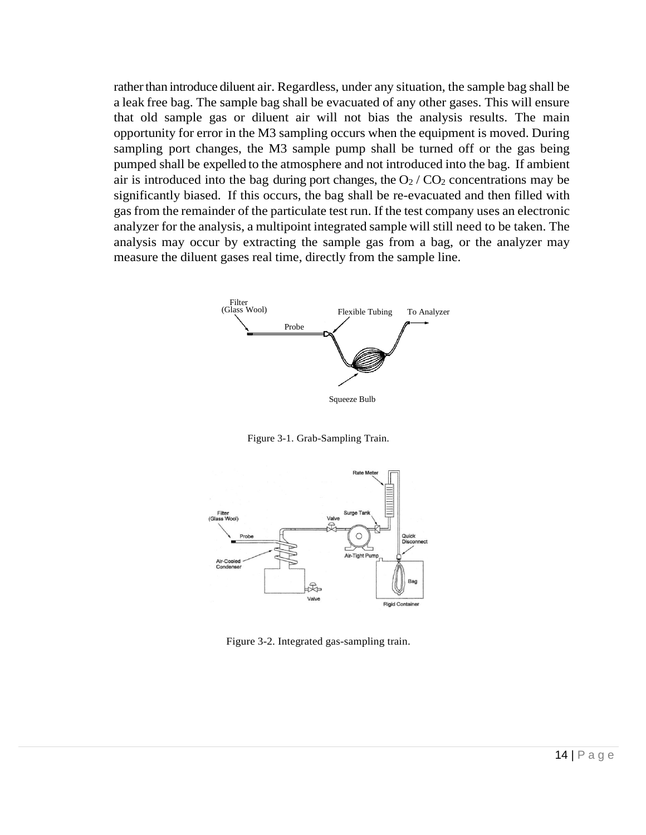rather than introduce diluent air. Regardless, under any situation, the sample bag shall be a leak free bag. The sample bag shall be evacuated of any other gases. This will ensure that old sample gas or diluent air will not bias the analysis results. The main opportunity for error in the M3 sampling occurs when the equipment is moved. During sampling port changes, the M3 sample pump shall be turned off or the gas being pumped shall be expelled to the atmosphere and not introduced into the bag. If ambient air is introduced into the bag during port changes, the  $O_2 / CO_2$  concentrations may be significantly biased. If this occurs, the bag shall be re-evacuated and then filled with gas from the remainder of the particulate test run. If the test company uses an electronic analyzer for the analysis, a multipoint integrated sample will still need to be taken. The analysis may occur by extracting the sample gas from a bag, or the analyzer may measure the diluent gases real time, directly from the sample line.



Figure 3-1. Grab-Sampling Train.



Figure 3-2. Integrated gas-sampling train.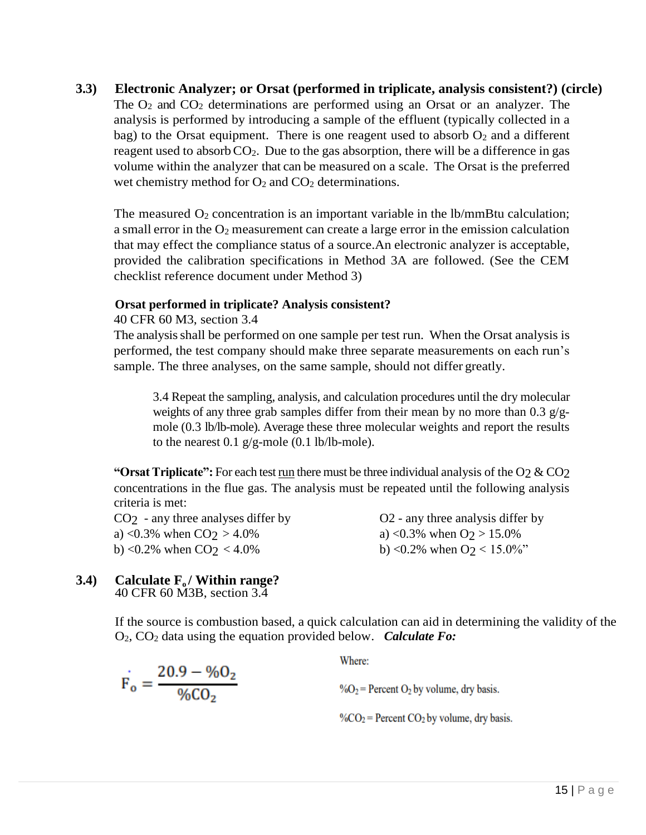## **3.3) Electronic Analyzer; or Orsat (performed in triplicate, analysis consistent?) (circle)**

The  $O_2$  and  $CO_2$  determinations are performed using an Orsat or an analyzer. The analysis is performed by introducing a sample of the effluent (typically collected in a bag) to the Orsat equipment. There is one reagent used to absorb  $O_2$  and a different reagent used to absorb  $CO<sub>2</sub>$ . Due to the gas absorption, there will be a difference in gas volume within the analyzer that can be measured on a scale. The Orsat is the preferred wet chemistry method for  $O_2$  and  $CO_2$  determinations.

The measured  $O_2$  concentration is an important variable in the lb/mmBtu calculation; a small error in the  $O_2$  measurement can create a large error in the emission calculation that may effect the compliance status of a source.An electronic analyzer is acceptable, provided the calibration specifications in Method 3A are followed. (See the CEM checklist reference document under Method 3)

### **Orsat performed in triplicate? Analysis consistent?**

40 CFR 60 M3, section 3.4

The analysis shall be performed on one sample per test run. When the Orsat analysis is performed, the test company should make three separate measurements on each run's sample. The three analyses, on the same sample, should not differ greatly.

3.4 Repeat the sampling, analysis, and calculation procedures until the dry molecular weights of any three grab samples differ from their mean by no more than  $0.3$  g/gmole (0.3 lb/lb-mole). Average these three molecular weights and report the results to the nearest 0.1  $g/g$ -mole (0.1 lb/lb-mole).

**"Orsat Triplicate":** For each test <u>run</u> there must be three individual analysis of the  $O_2 \& CO_2$ concentrations in the flue gas. The analysis must be repeated until the following analysis criteria is met:

a) <0.3% when  $CO<sub>2</sub> > 4.0$ % a) <0.3% when  $O<sub>2</sub> > 15.0$ % b) <0.2% when CO<sub>2</sub> < 4.0% b) <0.2% when O<sub>2</sub> < 15.0%"

 $CO<sub>2</sub>$  - any three analyses differ by  $O<sub>2</sub>$  - any three analysis differ by

# **3.4) Calculate F<sub>o</sub>** / **Within range?**

 $F_o = \frac{20.9 - %0_2}{%0.02}$ 

40 CFR 60 M3B, section 3.4

If the source is combustion based, a quick calculation can aid in determining the validity of the O2, CO<sup>2</sup> data using the equation provided below. *Calculate Fo:* 

Where:

 $\%O_2$  = Percent O<sub>2</sub> by volume, dry basis.

% $CO<sub>2</sub>$  = Percent  $CO<sub>2</sub>$  by volume, dry basis.

 $15$  | P a g e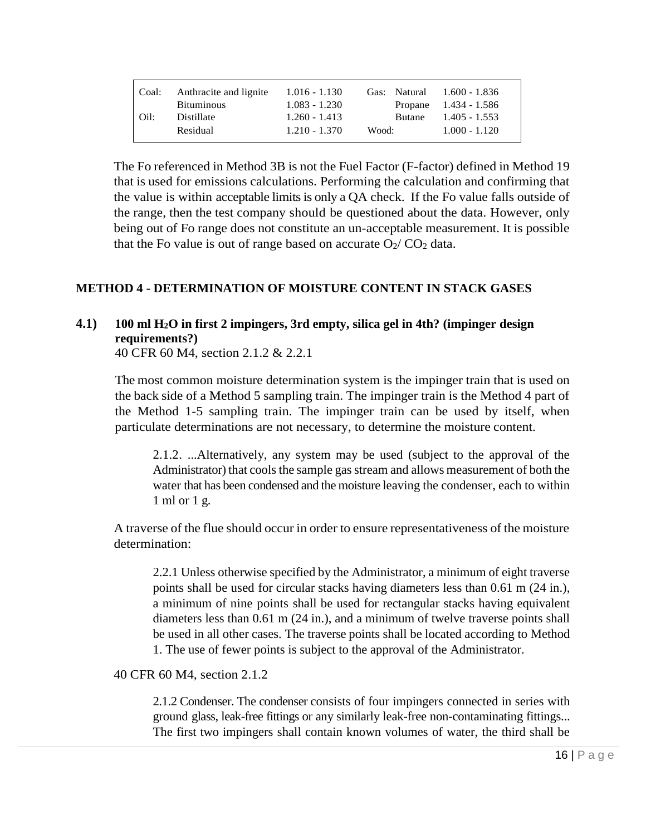| Coal: | Anthracite and lignite<br><b>Bituminous</b> | $1.016 - 1.130$<br>$1.083 - 1.230$ | Gas: Natural 1.600 - 1.836 | Propane $1.434 - 1.586$            |
|-------|---------------------------------------------|------------------------------------|----------------------------|------------------------------------|
| Oil:  | Distillate<br>Residual                      | $1.260 - 1.413$<br>$1.210 - 1.370$ | <b>Butane</b><br>Wood:     | $1.405 - 1.553$<br>$1.000 - 1.120$ |
|       |                                             |                                    |                            |                                    |

The Fo referenced in Method 3B is not the Fuel Factor (F-factor) defined in Method 19 that is used for emissions calculations. Performing the calculation and confirming that the value is within acceptable limits is only a  $QA$  check. If the Fo value falls outside of the range, then the test company should be questioned about the data. However, only being out of Fo range does not constitute an un-acceptable measurement. It is possible that the Fo value is out of range based on accurate  $O_2/CO_2$  data.

### **METHOD 4 - DETERMINATION OF MOISTURE CONTENT IN STACK GASES**

# **4.1) 100 ml H2O in first 2 impingers, 3rd empty, silica gel in 4th? (impinger design requirements?)**

40 CFR 60 M4, section 2.1.2 & 2.2.1

The most common moisture determination system is the impinger train that is used on the back side of a Method 5 sampling train. The impinger train is the Method 4 part of the Method 1-5 sampling train. The impinger train can be used by itself, when particulate determinations are not necessary, to determine the moisture content.

2.1.2. ...Alternatively, any system may be used (subject to the approval of the Administrator) that cools the sample gas stream and allows measurement of both the water that has been condensed and the moisture leaving the condenser, each to within 1 ml or 1 g.

A traverse of the flue should occur in order to ensure representativeness of the moisture determination:

2.2.1 Unless otherwise specified by the Administrator, a minimum of eight traverse points shall be used for circular stacks having diameters less than 0.61 m (24 in.), a minimum of nine points shall be used for rectangular stacks having equivalent diameters less than 0.61 m (24 in.), and a minimum of twelve traverse points shall be used in all other cases. The traverse points shall be located according to Method 1. The use of fewer points is subject to the approval of the Administrator.

40 CFR 60 M4, section 2.1.2

2.1.2 Condenser. The condenser consists of four impingers connected in series with ground glass, leak-free fittings or any similarly leak-free non-contaminating fittings... The first two impingers shall contain known volumes of water, the third shall be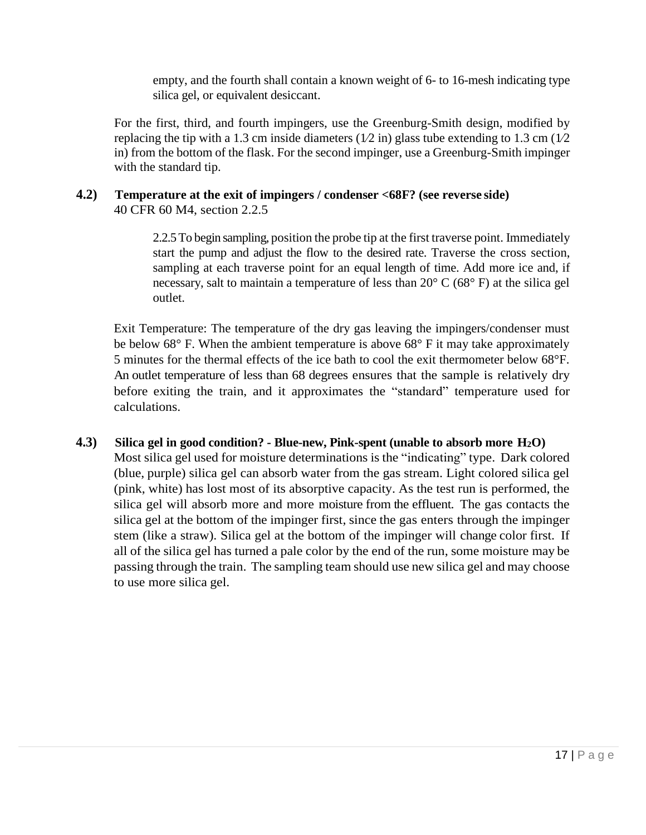empty, and the fourth shall contain a known weight of 6- to 16-mesh indicating type silica gel, or equivalent desiccant.

For the first, third, and fourth impingers, use the Greenburg-Smith design, modified by replacing the tip with a 1.3 cm inside diameters ( $1/2$  in) glass tube extending to 1.3 cm ( $1/2$ in) from the bottom of the flask. For the second impinger, use a Greenburg-Smith impinger with the standard tip.

### **4.2) Temperature at the exit of impingers / condenser <68F? (see reverse side)** 40 CFR 60 M4, section 2.2.5

2.2.5 To begin sampling, position the probe tip at the first traverse point. Immediately start the pump and adjust the flow to the desired rate. Traverse the cross section, sampling at each traverse point for an equal length of time. Add more ice and, if necessary, salt to maintain a temperature of less than  $20^{\circ}$  C (68 $^{\circ}$  F) at the silica gel outlet.

Exit Temperature: The temperature of the dry gas leaving the impingers/condenser must be below  $68^{\circ}$  F. When the ambient temperature is above  $68^{\circ}$  F it may take approximately 5 minutes for the thermal effects of the ice bath to cool the exit thermometer below 68°F. An outlet temperature of less than 68 degrees ensures that the sample is relatively dry before exiting the train, and it approximates the "standard" temperature used for calculations.

# **4.3) Silica gel in good condition? - Blue-new, Pink-spent (unable to absorb more H2O)**

Most silica gel used for moisture determinations is the "indicating" type. Dark colored (blue, purple) silica gel can absorb water from the gas stream. Light colored silica gel (pink, white) has lost most of its absorptive capacity. As the test run is performed, the silica gel will absorb more and more moisture from the effluent. The gas contacts the silica gel at the bottom of the impinger first, since the gas enters through the impinger stem (like a straw). Silica gel at the bottom of the impinger will change color first. If all of the silica gel has turned a pale color by the end of the run, some moisture may be passing through the train. The sampling team should use new silica gel and may choose to use more silica gel.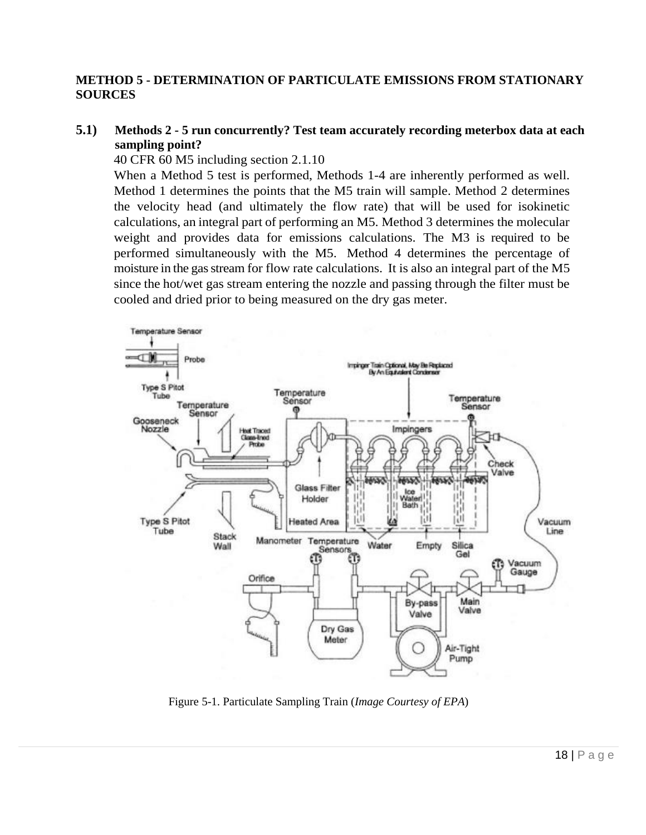### **METHOD 5 - DETERMINATION OF PARTICULATE EMISSIONS FROM STATIONARY SOURCES**

### **5.1) Methods 2 - 5 run concurrently? Test team accurately recording meterbox data at each sampling point?**

40 CFR 60 M5 including section 2.1.10

When a Method 5 test is performed, Methods 1-4 are inherently performed as well. Method 1 determines the points that the M5 train will sample. Method 2 determines the velocity head (and ultimately the flow rate) that will be used for isokinetic calculations, an integral part of performing an M5. Method 3 determines the molecular weight and provides data for emissions calculations. The M3 is required to be performed simultaneously with the M5. Method 4 determines the percentage of moisture in the gas stream for flow rate calculations. It is also an integral part of the M5 since the hot/wet gas stream entering the nozzle and passing through the filter must be cooled and dried prior to being measured on the dry gas meter.



Figure 5-1. Particulate Sampling Train (*Image Courtesy of EPA*)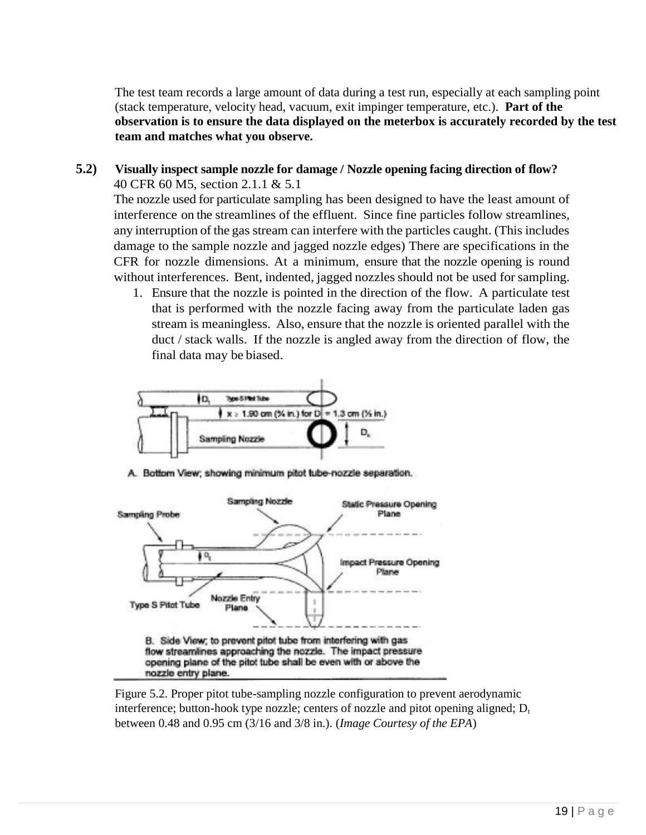The test team records a large amount of data during a test run, especially at each sampling point (stack temperature, velocity head, vacuum, exit impinger temperature, etc.). **Part of the observation is to ensure the data displayed on the meterbox is accurately recorded by the test team and matches what you observe.** 

### **5.2) Visually inspect sample nozzle for damage / Nozzle opening facing direction of flow?** 40 CFR 60 M5, section 2.1.1 & 5.1

The nozzle used for particulate sampling has been designed to have the least amount of interference on the streamlines of the effluent. Since fine particles follow streamlines, any interruption of the gas stream can interfere with the particles caught. (This includes damage to the sample nozzle and jagged nozzle edges) There are specifications in the CFR for nozzle dimensions. At a minimum, ensure that the nozzle opening is round without interferences. Bent, indented, jagged nozzles should not be used for sampling.

1. Ensure that the nozzle is pointed in the direction of the flow. A particulate test that is performed with the nozzle facing away from the particulate laden gas stream is meaningless. Also, ensure that the nozzle is oriented parallel with the duct / stack walls. If the nozzle is angled away from the direction of flow, the final data may be biased.



A. Bottom View; showing minimum pitot tube-nozzle separation.



Figure 5.2. Proper pitot tube-sampling nozzle configuration to prevent aerodynamic interference; button-hook type nozzle; centers of nozzle and pitot opening aligned;  $D_t$ between 0.48 and 0.95 cm (3/16 and 3/8 in.). (*Image Courtesy of the EPA*)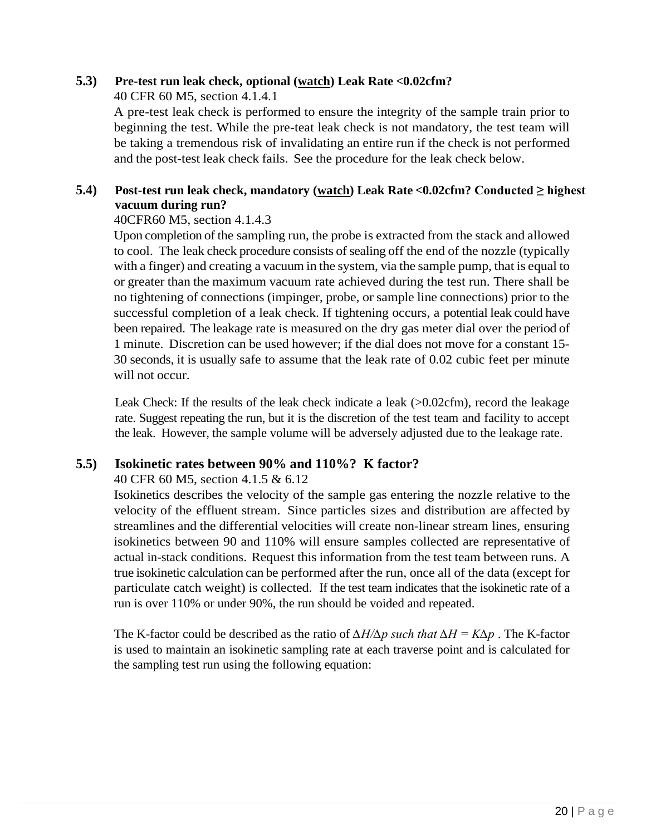# **5.3) Pre-test run leak check, optional (watch) Leak Rate <0.02cfm?**

40 CFR 60 M5, section 4.1.4.1

A pre-test leak check is performed to ensure the integrity of the sample train prior to beginning the test. While the pre-teat leak check is not mandatory, the test team will be taking a tremendous risk of invalidating an entire run if the check is not performed and the post-test leak check fails. See the procedure for the leak check below.

## **5.4) Post-test run leak check, mandatory (watch) Leak Rate <0.02cfm? Conducted ≥ highest vacuum during run?**

## 40CFR60 M5, section 4.1.4.3

Upon completion of the sampling run, the probe is extracted from the stack and allowed to cool. The leak check procedure consists of sealing off the end of the nozzle (typically with a finger) and creating a vacuum in the system, via the sample pump, that is equal to or greater than the maximum vacuum rate achieved during the test run. There shall be no tightening of connections (impinger, probe, or sample line connections) prior to the successful completion of a leak check. If tightening occurs, a potential leak could have been repaired. The leakage rate is measured on the dry gas meter dial over the period of 1 minute. Discretion can be used however; if the dial does not move for a constant 15- 30 seconds, it is usually safe to assume that the leak rate of 0.02 cubic feet per minute will not occur.

Leak Check: If the results of the leak check indicate a leak (>0.02cfm), record the leakage rate. Suggest repeating the run, but it is the discretion of the test team and facility to accept the leak. However, the sample volume will be adversely adjusted due to the leakage rate.

# **5.5) Isokinetic rates between 90% and 110%? K factor?**

## 40 CFR 60 M5, section 4.1.5 & 6.12

Isokinetics describes the velocity of the sample gas entering the nozzle relative to the velocity of the effluent stream. Since particles sizes and distribution are affected by streamlines and the differential velocities will create non-linear stream lines, ensuring isokinetics between 90 and 110% will ensure samples collected are representative of actual in-stack conditions. Request this information from the test team between runs. A true isokinetic calculation can be performed after the run, once all of the data (except for particulate catch weight) is collected. If the test team indicates that the isokinetic rate of a run is over 110% or under 90%, the run should be voided and repeated.

The K-factor could be described as the ratio of *∆H/∆p such that ∆H = K∆p* . The K-factor is used to maintain an isokinetic sampling rate at each traverse point and is calculated for the sampling test run using the following equation: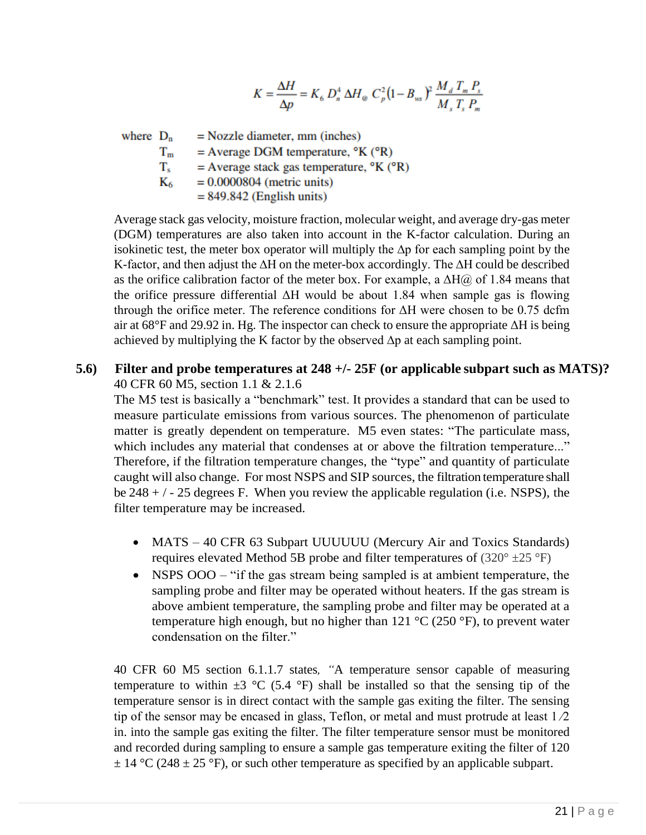$$
K = \frac{\Delta H}{\Delta p} = K_6 D_n^4 \, \Delta H_{\odot} C_p^2 (1 - B_{\rm ws})^2 \, \frac{M_d T_m P_s}{M_s T_s P_m}
$$

where  $D_n$  $=$  Nozzle diameter, mm (inches)  $=$  Average DGM temperature,  $\mathrm{P}K$  ( $\mathrm{P}R$ )  $T_m$ T.  $=$  Average stack gas temperature,  $\mathrm{P}K$  ( $\mathrm{P}R$ )  $K_6$  $= 0.0000804$  (metric units)  $= 849.842$  (English units)

Average stack gas velocity, moisture fraction, molecular weight, and average dry-gas meter (DGM) temperatures are also taken into account in the K-factor calculation. During an isokinetic test, the meter box operator will multiply the ∆p for each sampling point by the K-factor, and then adjust the ∆H on the meter-box accordingly. The ∆H could be described as the orifice calibration factor of the meter box. For example, a  $\Delta H(\hat{\alpha})$  of 1.84 means that the orifice pressure differential ΔH would be about 1.84 when sample gas is flowing through the orifice meter. The reference conditions for  $\Delta H$  were chosen to be 0.75 dcfm air at 68°F and 29.92 in. Hg. The inspector can check to ensure the appropriate ΔH is being achieved by multiplying the K factor by the observed ∆p at each sampling point.

## **5.6) Filter and probe temperatures at 248 +/- 25F (or applicable subpart such as MATS)?** 40 CFR 60 M5, section 1.1 & 2.1.6

The M5 test is basically a "benchmark" test. It provides a standard that can be used to measure particulate emissions from various sources. The phenomenon of particulate matter is greatly dependent on temperature. M5 even states: "The particulate mass, which includes any material that condenses at or above the filtration temperature..." Therefore, if the filtration temperature changes, the "type" and quantity of particulate caught will also change. For most NSPS and SIP sources, the filtration temperature shall be  $248 + / - 25$  degrees F. When you review the applicable regulation (i.e. NSPS), the filter temperature may be increased.

- MATS 40 CFR 63 Subpart UUUUUU (Mercury Air and Toxics Standards) requires elevated Method 5B probe and filter temperatures of  $(320^{\circ} \pm 25^{\circ}F)$
- NSPS OOO "if the gas stream being sampled is at ambient temperature, the sampling probe and filter may be operated without heaters. If the gas stream is above ambient temperature, the sampling probe and filter may be operated at a temperature high enough, but no higher than  $121 \text{ °C}$  (250  $\text{°F}$ ), to prevent water condensation on the filter."

40 CFR 60 M5 section 6.1.1.7 states*, "*A temperature sensor capable of measuring temperature to within  $\pm 3$  °C (5.4 °F) shall be installed so that the sensing tip of the temperature sensor is in direct contact with the sample gas exiting the filter. The sensing tip of the sensor may be encased in glass, Teflon, or metal and must protrude at least  $1/2$ in. into the sample gas exiting the filter. The filter temperature sensor must be monitored and recorded during sampling to ensure a sample gas temperature exiting the filter of 120  $\pm$  14 °C (248  $\pm$  25 °F), or such other temperature as specified by an applicable subpart.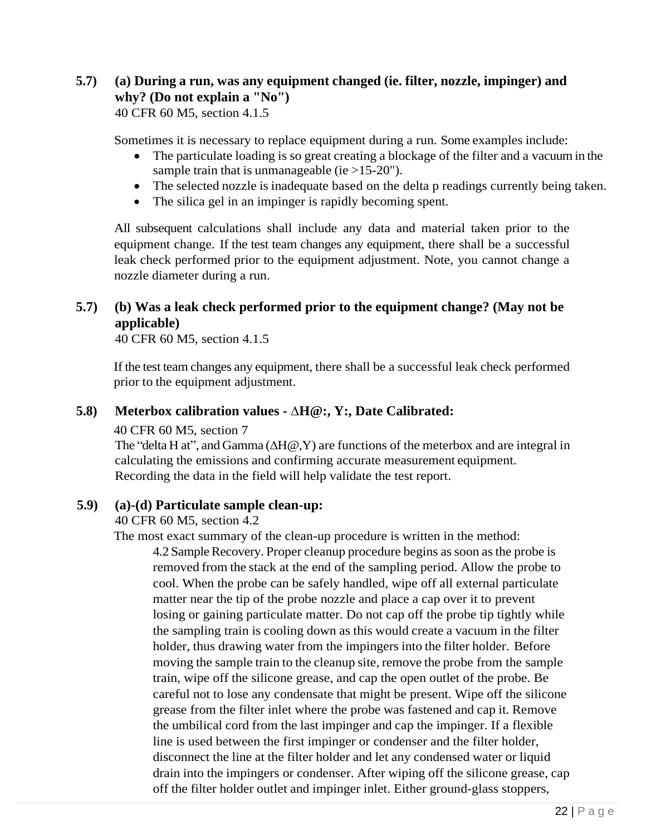# **5.7) (a) During a run, was any equipment changed (ie. filter, nozzle, impinger) and why? (Do not explain a "No")**

40 CFR 60 M5, section 4.1.5

Sometimes it is necessary to replace equipment during a run. Some examples include:

- The particulate loading is so great creating a blockage of the filter and a vacuum in the sample train that is unmanageable (ie  $>15-20$ ").
- The selected nozzle is inadequate based on the delta p readings currently being taken.
- The silica gel in an impinger is rapidly becoming spent.

All subsequent calculations shall include any data and material taken prior to the equipment change. If the test team changes any equipment, there shall be a successful leak check performed prior to the equipment adjustment. Note, you cannot change a nozzle diameter during a run.

# **5.7) (b) Was a leak check performed prior to the equipment change? (May not be applicable)**

40 CFR 60 M5, section 4.1.5

If the test team changes any equipment, there shall be a successful leak check performed prior to the equipment adjustment.

## **5.8) Meterbox calibration values - ∆H@:, Y:, Date Calibrated:**

40 CFR 60 M5, section 7

The "delta H at", and Gamma (∆H@,Y) are functions of the meterbox and are integral in calculating the emissions and confirming accurate measurement equipment. Recording the data in the field will help validate the test report.

## **5.9) (a)-(d) Particulate sample clean-up:**

40 CFR 60 M5, section 4.2

The most exact summary of the clean-up procedure is written in the method:

4.2 Sample Recovery. Proper cleanup procedure begins as soon as the probe is removed from the stack at the end of the sampling period. Allow the probe to cool. When the probe can be safely handled, wipe off all external particulate matter near the tip of the probe nozzle and place a cap over it to prevent losing or gaining particulate matter. Do not cap off the probe tip tightly while the sampling train is cooling down as this would create a vacuum in the filter holder, thus drawing water from the impingers into the filter holder. Before moving the sample train to the cleanup site, remove the probe from the sample train, wipe off the silicone grease, and cap the open outlet of the probe. Be careful not to lose any condensate that might be present. Wipe off the silicone grease from the filter inlet where the probe was fastened and cap it. Remove the umbilical cord from the last impinger and cap the impinger. If a flexible line is used between the first impinger or condenser and the filter holder, disconnect the line at the filter holder and let any condensed water or liquid drain into the impingers or condenser. After wiping off the silicone grease, cap off the filter holder outlet and impinger inlet. Either ground-glass stoppers,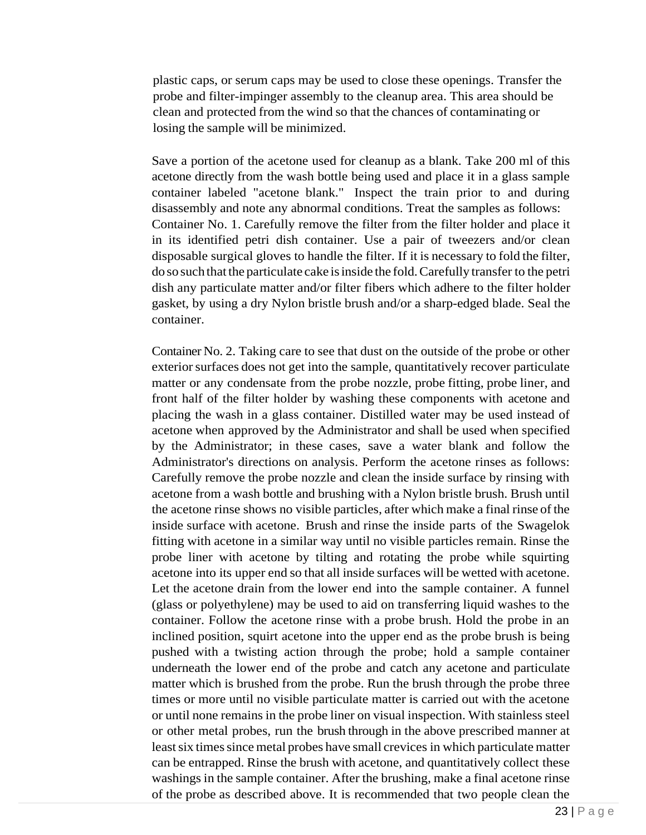plastic caps, or serum caps may be used to close these openings. Transfer the probe and filter-impinger assembly to the cleanup area. This area should be clean and protected from the wind so that the chances of contaminating or losing the sample will be minimized.

Save a portion of the acetone used for cleanup as a blank. Take 200 ml of this acetone directly from the wash bottle being used and place it in a glass sample container labeled "acetone blank." Inspect the train prior to and during disassembly and note any abnormal conditions. Treat the samples as follows: Container No. 1. Carefully remove the filter from the filter holder and place it in its identified petri dish container. Use a pair of tweezers and/or clean disposable surgical gloves to handle the filter. If it is necessary to fold the filter, do so such that the particulate cake is inside the fold. Carefully transfer to the petri dish any particulate matter and/or filter fibers which adhere to the filter holder gasket, by using a dry Nylon bristle brush and/or a sharp-edged blade. Seal the container.

Container No. 2. Taking care to see that dust on the outside of the probe or other exterior surfaces does not get into the sample, quantitatively recover particulate matter or any condensate from the probe nozzle, probe fitting, probe liner, and front half of the filter holder by washing these components with acetone and placing the wash in a glass container. Distilled water may be used instead of acetone when approved by the Administrator and shall be used when specified by the Administrator; in these cases, save a water blank and follow the Administrator's directions on analysis. Perform the acetone rinses as follows: Carefully remove the probe nozzle and clean the inside surface by rinsing with acetone from a wash bottle and brushing with a Nylon bristle brush. Brush until the acetone rinse shows no visible particles, after which make a final rinse of the inside surface with acetone. Brush and rinse the inside parts of the Swagelok fitting with acetone in a similar way until no visible particles remain. Rinse the probe liner with acetone by tilting and rotating the probe while squirting acetone into its upper end so that all inside surfaces will be wetted with acetone. Let the acetone drain from the lower end into the sample container. A funnel (glass or polyethylene) may be used to aid on transferring liquid washes to the container. Follow the acetone rinse with a probe brush. Hold the probe in an inclined position, squirt acetone into the upper end as the probe brush is being pushed with a twisting action through the probe; hold a sample container underneath the lower end of the probe and catch any acetone and particulate matter which is brushed from the probe. Run the brush through the probe three times or more until no visible particulate matter is carried out with the acetone or until none remains in the probe liner on visual inspection. With stainless steel or other metal probes, run the brush through in the above prescribed manner at least six times since metal probes have small crevices in which particulate matter can be entrapped. Rinse the brush with acetone, and quantitatively collect these washings in the sample container. After the brushing, make a final acetone rinse of the probe as described above. It is recommended that two people clean the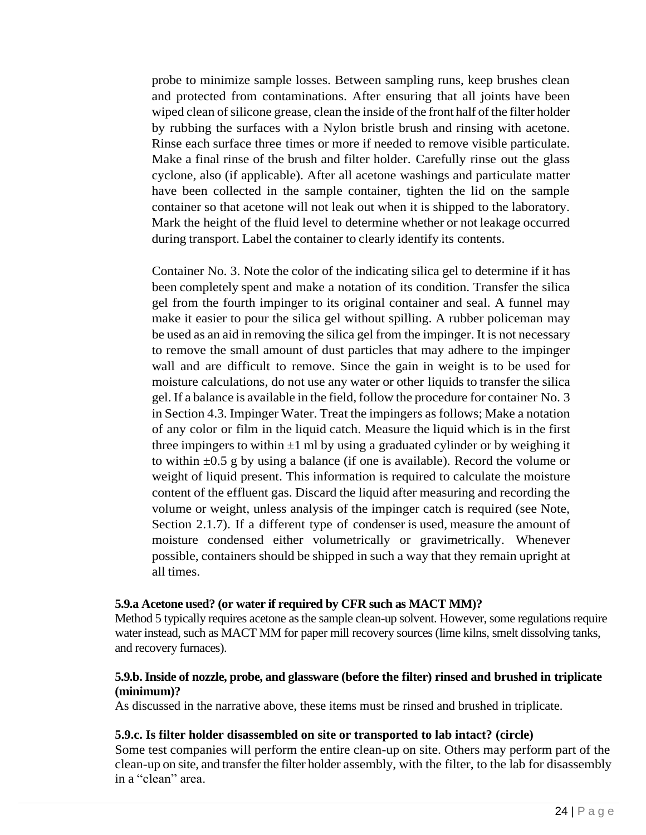probe to minimize sample losses. Between sampling runs, keep brushes clean and protected from contaminations. After ensuring that all joints have been wiped clean of silicone grease, clean the inside of the front half of the filter holder by rubbing the surfaces with a Nylon bristle brush and rinsing with acetone. Rinse each surface three times or more if needed to remove visible particulate. Make a final rinse of the brush and filter holder. Carefully rinse out the glass cyclone, also (if applicable). After all acetone washings and particulate matter have been collected in the sample container, tighten the lid on the sample container so that acetone will not leak out when it is shipped to the laboratory. Mark the height of the fluid level to determine whether or not leakage occurred during transport. Label the container to clearly identify its contents.

Container No. 3. Note the color of the indicating silica gel to determine if it has been completely spent and make a notation of its condition. Transfer the silica gel from the fourth impinger to its original container and seal. A funnel may make it easier to pour the silica gel without spilling. A rubber policeman may be used as an aid in removing the silica gel from the impinger. It is not necessary to remove the small amount of dust particles that may adhere to the impinger wall and are difficult to remove. Since the gain in weight is to be used for moisture calculations, do not use any water or other liquids to transfer the silica gel. If a balance is available in the field, follow the procedure for container No. 3 in Section 4.3. Impinger Water. Treat the impingers as follows; Make a notation of any color or film in the liquid catch. Measure the liquid which is in the first three impingers to within  $\pm 1$  ml by using a graduated cylinder or by weighing it to within  $\pm 0.5$  g by using a balance (if one is available). Record the volume or weight of liquid present. This information is required to calculate the moisture content of the effluent gas. Discard the liquid after measuring and recording the volume or weight, unless analysis of the impinger catch is required (see Note, Section 2.1.7). If a different type of condenser is used, measure the amount of moisture condensed either volumetrically or gravimetrically. Whenever possible, containers should be shipped in such a way that they remain upright at all times.

#### **5.9.a Acetone used? (or water if required by CFR such as MACT MM)?**

Method 5 typically requires acetone as the sample clean-up solvent. However, some regulations require water instead, such as MACT MM for paper mill recovery sources (lime kilns, smelt dissolving tanks, and recovery furnaces).

### **5.9.b. Inside of nozzle, probe, and glassware (before the filter) rinsed and brushed in triplicate (minimum)?**

As discussed in the narrative above, these items must be rinsed and brushed in triplicate.

#### **5.9.c. Is filter holder disassembled on site or transported to lab intact? (circle)**

Some test companies will perform the entire clean-up on site. Others may perform part of the clean-up on site, and transferthe filter holder assembly, with the filter, to the lab for disassembly in a "clean" area.